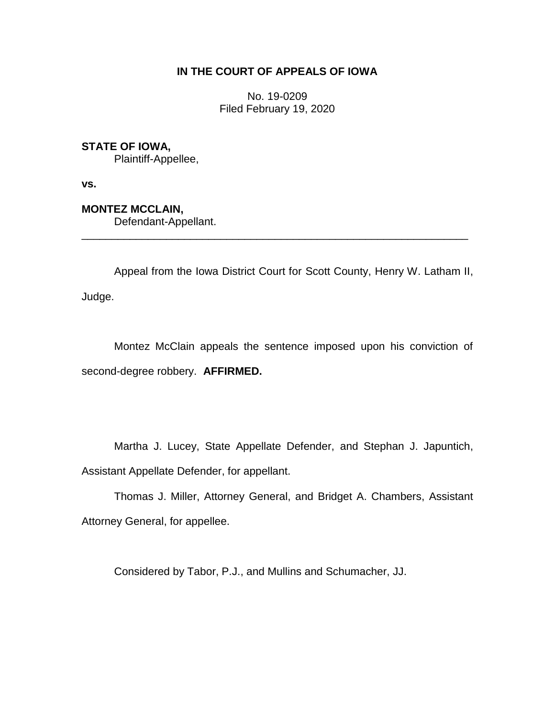## **IN THE COURT OF APPEALS OF IOWA**

No. 19-0209 Filed February 19, 2020

## **STATE OF IOWA,**

Plaintiff-Appellee,

**vs.**

## **MONTEZ MCCLAIN,**

Defendant-Appellant.

Appeal from the Iowa District Court for Scott County, Henry W. Latham II, Judge.

\_\_\_\_\_\_\_\_\_\_\_\_\_\_\_\_\_\_\_\_\_\_\_\_\_\_\_\_\_\_\_\_\_\_\_\_\_\_\_\_\_\_\_\_\_\_\_\_\_\_\_\_\_\_\_\_\_\_\_\_\_\_\_\_

Montez McClain appeals the sentence imposed upon his conviction of second-degree robbery. **AFFIRMED.** 

Martha J. Lucey, State Appellate Defender, and Stephan J. Japuntich, Assistant Appellate Defender, for appellant.

Thomas J. Miller, Attorney General, and Bridget A. Chambers, Assistant Attorney General, for appellee.

Considered by Tabor, P.J., and Mullins and Schumacher, JJ.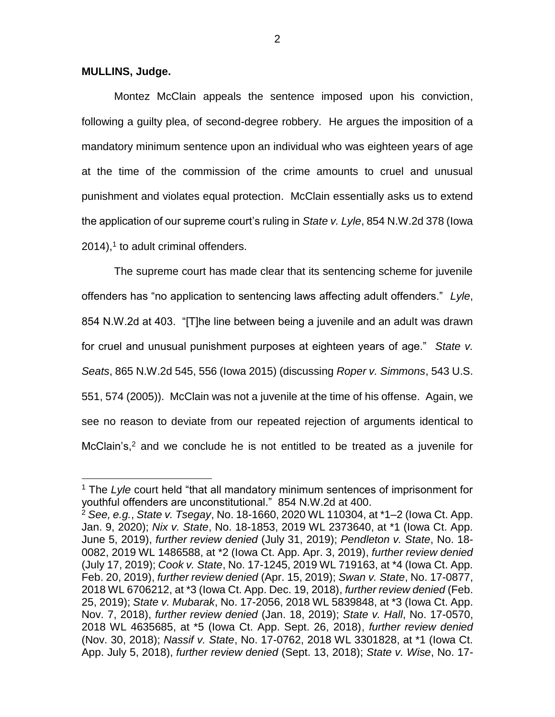## **MULLINS, Judge.**

 $\overline{a}$ 

Montez McClain appeals the sentence imposed upon his conviction, following a guilty plea, of second-degree robbery. He argues the imposition of a mandatory minimum sentence upon an individual who was eighteen years of age at the time of the commission of the crime amounts to cruel and unusual punishment and violates equal protection. McClain essentially asks us to extend the application of our supreme court's ruling in *State v. Lyle*, 854 N.W.2d 378 (Iowa  $2014$ ),<sup>1</sup> to adult criminal offenders.

The supreme court has made clear that its sentencing scheme for juvenile offenders has "no application to sentencing laws affecting adult offenders." *Lyle*, 854 N.W.2d at 403. "[T]he line between being a juvenile and an adult was drawn for cruel and unusual punishment purposes at eighteen years of age." *State v. Seats*, 865 N.W.2d 545, 556 (Iowa 2015) (discussing *Roper v. Simmons*, 543 U.S. 551, 574 (2005)). McClain was not a juvenile at the time of his offense. Again, we see no reason to deviate from our repeated rejection of arguments identical to McClain's,<sup>2</sup> and we conclude he is not entitled to be treated as a juvenile for

<sup>1</sup> The *Lyle* court held "that all mandatory minimum sentences of imprisonment for youthful offenders are unconstitutional." 854 N.W.2d at 400.

<sup>2</sup> *See, e.g.*, *State v. Tsegay*, No. 18-1660, 2020 WL 110304, at \*1–2 (Iowa Ct. App. Jan. 9, 2020); *Nix v. State*, No. 18-1853, 2019 WL 2373640, at \*1 (Iowa Ct. App. June 5, 2019), *further review denied* (July 31, 2019); *Pendleton v. State*, No. 18- 0082, 2019 WL 1486588, at \*2 (Iowa Ct. App. Apr. 3, 2019), *further review denied* (July 17, 2019); *Cook v. State*, No. 17-1245, 2019 WL 719163, at \*4 (Iowa Ct. App. Feb. 20, 2019), *further review denied* (Apr. 15, 2019); *Swan v. State*, No. 17-0877, 2018 WL 6706212, at \*3 (Iowa Ct. App. Dec. 19, 2018), *further review denied* (Feb. 25, 2019); *State v. Mubarak*, No. 17-2056, 2018 WL 5839848, at \*3 (Iowa Ct. App. Nov. 7, 2018), *further review denied* (Jan. 18, 2019); *State v. Hall*, No. 17-0570, 2018 WL 4635685, at \*5 (Iowa Ct. App. Sept. 26, 2018), *further review denied*  (Nov. 30, 2018); *Nassif v. State*, No. 17-0762, 2018 WL 3301828, at \*1 (Iowa Ct. App. July 5, 2018), *further review denied* (Sept. 13, 2018); *State v. Wise*, No. 17-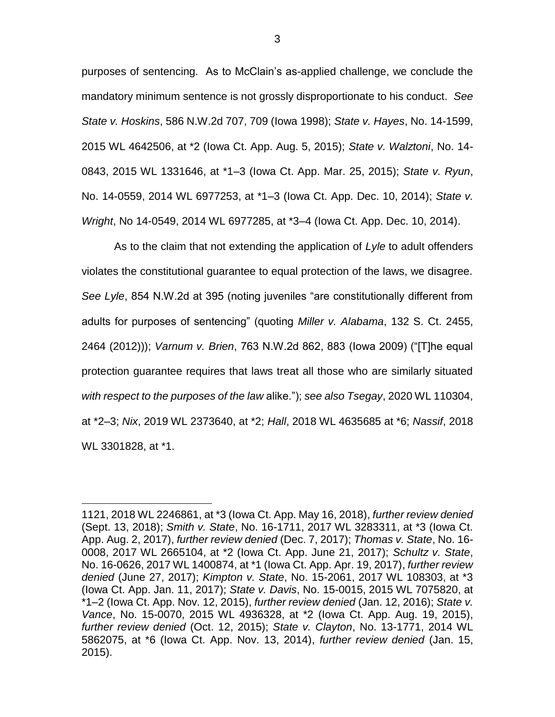purposes of sentencing. As to McClain's as-applied challenge, we conclude the mandatory minimum sentence is not grossly disproportionate to his conduct. *See State v. Hoskins*, 586 N.W.2d 707, 709 (Iowa 1998); *State v. Hayes*, No. 14-1599, 2015 WL 4642506, at \*2 (Iowa Ct. App. Aug. 5, 2015); *State v. Walztoni*, No. 14- 0843, 2015 WL 1331646, at \*1–3 (Iowa Ct. App. Mar. 25, 2015); *State v. Ryun*, No. 14-0559, 2014 WL 6977253, at \*1–3 (Iowa Ct. App. Dec. 10, 2014); *State v. Wright*, No 14-0549, 2014 WL 6977285, at \*3–4 (Iowa Ct. App. Dec. 10, 2014).

As to the claim that not extending the application of *Lyle* to adult offenders violates the constitutional guarantee to equal protection of the laws, we disagree. *See Lyle*, 854 N.W.2d at 395 (noting juveniles "are constitutionally different from adults for purposes of sentencing" (quoting *Miller v. Alabama*, 132 S. Ct. 2455, 2464 (2012))); *Varnum v. Brien*, 763 N.W.2d 862, 883 (Iowa 2009) ("[T]he equal protection guarantee requires that laws treat all those who are similarly situated *with respect to the purposes of the law* alike."); *see also Tsegay*, 2020 WL 110304, at \*2–3; *Nix*, 2019 WL 2373640, at \*2; *Hall*, 2018 WL 4635685 at \*6; *Nassif*, 2018 WL 3301828, at \*1.

 $\overline{a}$ 

<sup>1121, 2018</sup> WL 2246861, at \*3 (Iowa Ct. App. May 16, 2018), *further review denied*  (Sept. 13, 2018); *Smith v. State*, No. 16-1711, 2017 WL 3283311, at \*3 (Iowa Ct. App. Aug. 2, 2017), *further review denied* (Dec. 7, 2017); *Thomas v. State*, No. 16- 0008, 2017 WL 2665104, at \*2 (Iowa Ct. App. June 21, 2017); *Schultz v. State*, No. 16-0626, 2017 WL 1400874, at \*1 (Iowa Ct. App. Apr. 19, 2017), *further review denied* (June 27, 2017); *Kimpton v. State*, No. 15-2061, 2017 WL 108303, at \*3 (Iowa Ct. App. Jan. 11, 2017); *State v. Davis*, No. 15-0015, 2015 WL 7075820, at \*1–2 (Iowa Ct. App. Nov. 12, 2015), *further review denied* (Jan. 12, 2016); *State v. Vance*, No. 15-0070, 2015 WL 4936328, at \*2 (Iowa Ct. App. Aug. 19, 2015), *further review denied* (Oct. 12, 2015); *State v. Clayton*, No. 13-1771, 2014 WL 5862075, at \*6 (Iowa Ct. App. Nov. 13, 2014), *further review denied* (Jan. 15, 2015).